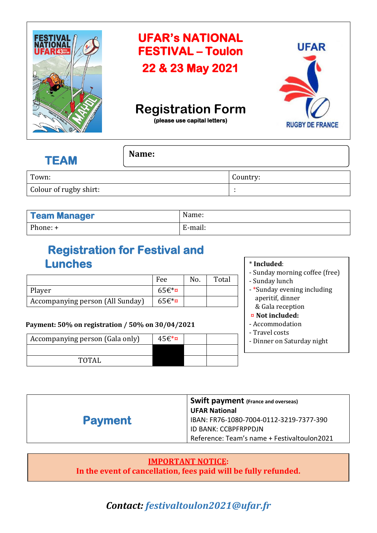

## **UFAR's NATIONAL FESTIVAL – Toulon 22 & 23 May 2021**



# **Registration Form**

**(please use capital letters)** 

| <b>TEAM</b>            | Name: |          |
|------------------------|-------|----------|
| Town:                  |       | Country: |
| Colour of rugby shirt: |       |          |

| <b>Team Manager</b> | Name:   |
|---------------------|---------|
| Phone: +            | E-mail: |

## **Registration for Festival and Lunches**

|                                  | Fee      | No. | Total |
|----------------------------------|----------|-----|-------|
| Player                           | $65f$ *¤ |     |       |
| Accompanying person (All Sunday) | $65f$ *¤ |     |       |

### **Payment: 50% on registration / 50% on 30/04/2021**

| Accompanying person (Gala only) | $45f*$ ¤ |  |
|---------------------------------|----------|--|
|                                 |          |  |
| <b>TOTAL</b>                    |          |  |

#### \* **Included**:

- Sunday morning coffee (free)
- Sunday lunch
- \*Sunday evening including aperitif, dinner & Gala reception
- ¤ **Not included:**
- Accommodation
- Travel costs
- Dinner on Saturday night

| <b>UFAR National</b>                                      |
|-----------------------------------------------------------|
| <b>Payment</b><br>IBAN: FR76-1080-7004-0112-3219-7377-390 |
| ID BANK: CCBPFRPPDJN                                      |
| Reference: Team's name + Festivaltoulon2021               |

#### **IMPORTANT NOTICE: In the event of cancellation, fees paid will be fully refunded.**

## *Contact: festivaltoulon2021@ufar.fr*